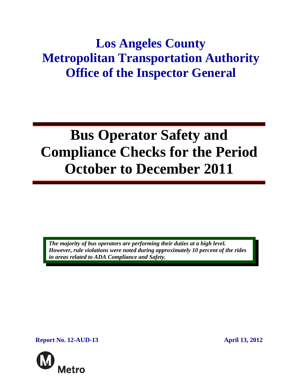## **Los Angeles County Metropolitan Transportation Authority Office of the Inspector General**

# **Bus Operator Safety and Compliance Checks for the Period October to December 2011**

*The majority of bus operators are performing their duties at a high level. However, rule violations were noted during approximately 10 percent of the rides in areas related to ADA Compliance and Safety.* 

**Report No. 12-AUD-13 April 13, 2012** 

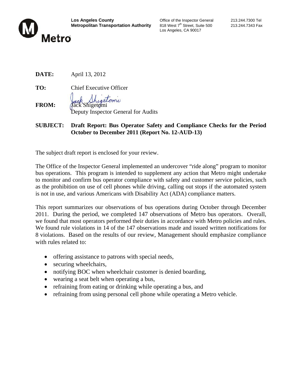

Los Angeles, CA 90017

**DATE:** April 13, 2012

**TO:** Chief Executive Officer **FROM:** Jack Shigetomi

Deputy Inspector General for Audits

#### **SUBJECT: Draft Report: Bus Operator Safety and Compliance Checks for the Period October to December 2011 (Report No. 12-AUD-13)**

The subject draft report is enclosed for your review.

The Office of the Inspector General implemented an undercover "ride along" program to monitor bus operations. This program is intended to supplement any action that Metro might undertake to monitor and confirm bus operator compliance with safety and customer service policies, such as the prohibition on use of cell phones while driving, calling out stops if the automated system is not in use, and various Americans with Disability Act (ADA) compliance matters.

This report summarizes our observations of bus operations during October through December 2011. During the period, we completed 147 observations of Metro bus operators. Overall, we found that most operators performed their duties in accordance with Metro policies and rules. We found rule violations in 14 of the 147 observations made and issued written notifications for 8 violations. Based on the results of our review, Management should emphasize compliance with rules related to:

- offering assistance to patrons with special needs,
- securing wheelchairs,
- notifying BOC when wheelchair customer is denied boarding,
- wearing a seat belt when operating a bus,
- refraining from eating or drinking while operating a bus, and
- refraining from using personal cell phone while operating a Metro vehicle.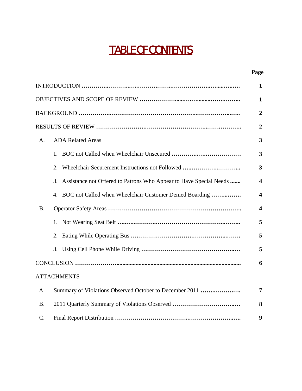## TABLE OF CONTENTS

#### **Page**

|                 |                                                                          | $\overline{2}$          |  |  |  |  |
|-----------------|--------------------------------------------------------------------------|-------------------------|--|--|--|--|
|                 |                                                                          |                         |  |  |  |  |
| A.              | <b>ADA Related Areas</b>                                                 | $\overline{\mathbf{3}}$ |  |  |  |  |
|                 | 1.                                                                       | 3                       |  |  |  |  |
|                 | Wheelchair Securement Instructions not Followed<br>2.                    | $\overline{\mathbf{3}}$ |  |  |  |  |
|                 | 3.<br>Assistance not Offered to Patrons Who Appear to Have Special Needs | $\overline{\mathbf{4}}$ |  |  |  |  |
|                 | BOC not Called when Wheelchair Customer Denied Boarding<br>4.            | $\overline{\mathbf{4}}$ |  |  |  |  |
| <b>B.</b>       |                                                                          | $\overline{\mathbf{4}}$ |  |  |  |  |
|                 | 1.                                                                       | 5                       |  |  |  |  |
|                 | 2.                                                                       | 5                       |  |  |  |  |
|                 |                                                                          | 5                       |  |  |  |  |
|                 |                                                                          | 6                       |  |  |  |  |
|                 | <b>ATTACHMENTS</b>                                                       |                         |  |  |  |  |
| A.              | Summary of Violations Observed October to December 2011                  | 7                       |  |  |  |  |
| <b>B.</b>       | 2011 Quarterly Summary of Violations Observed                            | 8                       |  |  |  |  |
| $\mathcal{C}$ . |                                                                          | 9                       |  |  |  |  |
|                 |                                                                          |                         |  |  |  |  |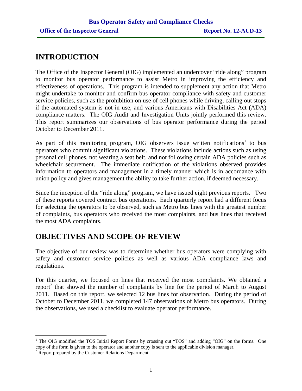## **INTRODUCTION**

The Office of the Inspector General (OIG) implemented an undercover "ride along" program to monitor bus operator performance to assist Metro in improving the efficiency and effectiveness of operations. This program is intended to supplement any action that Metro might undertake to monitor and confirm bus operator compliance with safety and customer service policies, such as the prohibition on use of cell phones while driving, calling out stops if the automated system is not in use, and various Americans with Disabilities Act (ADA) compliance matters. The OIG Audit and Investigation Units jointly performed this review. This report summarizes our observations of bus operator performance during the period October to December 2011.

As part of this monitoring program, OIG observers issue written notifications<sup>1</sup> to bus operators who commit significant violations. These violations include actions such as using personal cell phones, not wearing a seat belt, and not following certain ADA policies such as wheelchair securement. The immediate notification of the violations observed provides information to operators and management in a timely manner which is in accordance with union policy and gives management the ability to take further action, if deemed necessary.

Since the inception of the "ride along" program, we have issued eight previous reports. Two of these reports covered contract bus operations. Each quarterly report had a different focus for selecting the operators to be observed, such as Metro bus lines with the greatest number of complaints, bus operators who received the most complaints, and bus lines that received the most ADA complaints.

## **OBJECTIVES AND SCOPE OF REVIEW**

The objective of our review was to determine whether bus operators were complying with safety and customer service policies as well as various ADA compliance laws and regulations.

For this quarter, we focused on lines that received the most complaints. We obtained a report<sup>2</sup> that showed the number of complaints by line for the period of March to August 2011. Based on this report, we selected 12 bus lines for observation. During the period of October to December 2011, we completed 147 observations of Metro bus operators. During the observations, we used a checklist to evaluate operator performance.

<sup>&</sup>lt;sup>1</sup> The OIG modified the TOS Initial Report Forms by crossing out "TOS" and adding "OIG" on the forms. One copy of the form is given to the operator and another copy is sent to the applicable division manager.

<sup>&</sup>lt;sup>2</sup> Report prepared by the Customer Relations Department.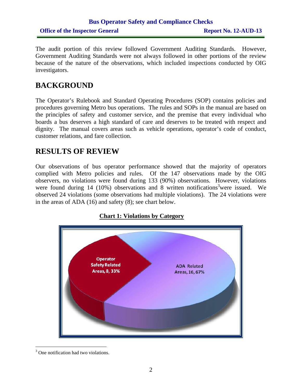## **Bus Operator Safety and Compliance Checks Office of the Inspector General Report No. 12-AUD-13**

The audit portion of this review followed Government Auditing Standards. However, Government Auditing Standards were not always followed in other portions of the review because of the nature of the observations, which included inspections conducted by OIG investigators.

## **BACKGROUND**

The Operator's Rulebook and Standard Operating Procedures (SOP) contains policies and procedures governing Metro bus operations. The rules and SOPs in the manual are based on the principles of safety and customer service, and the premise that every individual who boards a bus deserves a high standard of care and deserves to be treated with respect and dignity. The manual covers areas such as vehicle operations, operator's code of conduct, customer relations, and fare collection.

## **RESULTS OF REVIEW**

Our observations of bus operator performance showed that the majority of operators complied with Metro policies and rules. Of the 147 observations made by the OIG observers, no violations were found during 133 (90%) observations. However, violations were found during  $14$  (10%) observations and 8 written notifications<sup>3</sup> were issued. We observed 24 violations (some observations had multiple violations). The 24 violations were in the areas of ADA (16) and safety (8); see chart below.

#### **Chart 1: Violations by Category**



 $\overline{a}$ <sup>3</sup> One notification had two violations.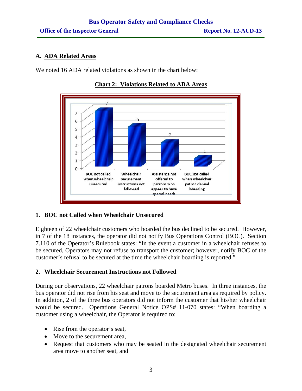#### **A. ADA Related Areas**

We noted 16 ADA related violations as shown in the chart below:



**Chart 2: Violations Related to ADA Areas**

#### **1. BOC not Called when Wheelchair Unsecured**

Eighteen of 22 wheelchair customers who boarded the bus declined to be secured. However, in 7 of the 18 instances, the operator did not notify Bus Operations Control (BOC). Section 7.110 of the Operator's Rulebook states: "In the event a customer in a wheelchair refuses to be secured, Operators may not refuse to transport the customer; however, notify BOC of the customer's refusal to be secured at the time the wheelchair boarding is reported."

#### **2. Wheelchair Securement Instructions not Followed**

During our observations, 22 wheelchair patrons boarded Metro buses. In three instances, the bus operator did not rise from his seat and move to the securement area as required by policy. In addition, 2 of the three bus operators did not inform the customer that his/her wheelchair would be secured. Operations General Notice OPS# 11-070 states: "When boarding a customer using a wheelchair, the Operator is required to:

- Rise from the operator's seat,
- Move to the securement area,
- Request that customers who may be seated in the designated wheelchair securement area move to another seat, and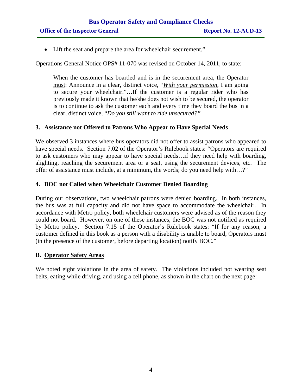• Lift the seat and prepare the area for wheelchair securement."

Operations General Notice OPS# 11-070 was revised on October 14, 2011, to state:

When the customer has boarded and is in the securement area, the Operator must: Announce in a clear, distinct voice, "*With your permission*, I am going to secure your wheelchair."**…**If the customer is a regular rider who has previously made it known that he/she does not wish to be secured, the operator is to continue to ask the customer each and every time they board the bus in a clear, distinct voice, "*Do you still want to ride unsecured?"* 

#### **3. Assistance not Offered to Patrons Who Appear to Have Special Needs**

We observed 3 instances where bus operators did not offer to assist patrons who appeared to have special needs. Section 7.02 of the Operator's Rulebook states: "Operators are required to ask customers who may appear to have special needs…if they need help with boarding, alighting, reaching the securement area or a seat, using the securement devices, etc. The offer of assistance must include, at a minimum, the words; do you need help with…?"

#### **4. BOC not Called when Wheelchair Customer Denied Boarding**

During our observations, two wheelchair patrons were denied boarding. In both instances, the bus was at full capacity and did not have space to accommodate the wheelchair. In accordance with Metro policy, both wheelchair customers were advised as of the reason they could not board. However, on one of these instances, the BOC was not notified as required by Metro policy. Section 7.15 of the Operator's Rulebook states: "If for any reason, a customer defined in this book as a person with a disability is unable to board, Operators must (in the presence of the customer, before departing location) notify BOC."

#### **B. Operator Safety Areas**

We noted eight violations in the area of safety. The violations included not wearing seat belts, eating while driving, and using a cell phone, as shown in the chart on the next page: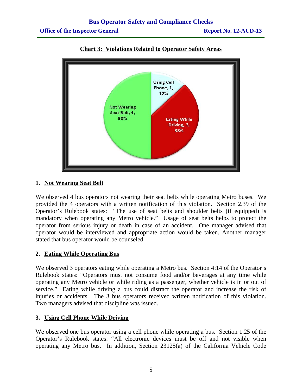

**Chart 3: Violations Related to Operator Safety Areas**

#### **1. Not Wearing Seat Belt**

We observed 4 bus operators not wearing their seat belts while operating Metro buses. We provided the 4 operators with a written notification of this violation. Section 2.39 of the Operator's Rulebook states: "The use of seat belts and shoulder belts (if equipped) is mandatory when operating any Metro vehicle." Usage of seat belts helps to protect the operator from serious injury or death in case of an accident. One manager advised that operator would be interviewed and appropriate action would be taken. Another manager stated that bus operator would be counseled.

#### **2. Eating While Operating Bus**

We observed 3 operators eating while operating a Metro bus. Section 4:14 of the Operator's Rulebook states: "Operators must not consume food and/or beverages at any time while operating any Metro vehicle or while riding as a passenger, whether vehicle is in or out of service." Eating while driving a bus could distract the operator and increase the risk of injuries or accidents. The 3 bus operators received written notification of this violation. Two managers advised that discipline was issued.

#### **3. Using Cell Phone While Driving**

We observed one bus operator using a cell phone while operating a bus. Section 1.25 of the Operator's Rulebook states: "All electronic devices must be off and not visible when operating any Metro bus. In addition, Section 23125(a) of the California Vehicle Code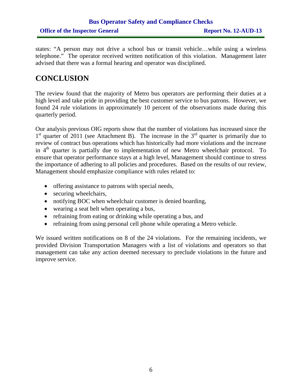## **Bus Operator Safety and Compliance Checks Office of the Inspector General Report No. 12-AUD-13**

states: "A person may not drive a school bus or transit vehicle…while using a wireless telephone." The operator received written notification of this violation. Management later advised that there was a formal hearing and operator was disciplined.

## **CONCLUSION**

The review found that the majority of Metro bus operators are performing their duties at a high level and take pride in providing the best customer service to bus patrons. However, we found 24 rule violations in approximately 10 percent of the observations made during this quarterly period.

Our analysis previous OIG reports show that the number of violations has increased since the  $1<sup>st</sup>$  quarter of 2011 (see Attachment B). The increase in the  $3<sup>rd</sup>$  quarter is primarily due to review of contract bus operations which has historically had more violations and the increase in  $4<sup>th</sup>$  quarter is partially due to implementation of new Metro wheelchair protocol. To ensure that operator performance stays at a high level, Management should continue to stress the importance of adhering to all policies and procedures. Based on the results of our review, Management should emphasize compliance with rules related to:

- offering assistance to patrons with special needs,
- securing wheelchairs,
- notifying BOC when wheelchair customer is denied boarding,
- wearing a seat belt when operating a bus,
- refraining from eating or drinking while operating a bus, and
- refraining from using personal cell phone while operating a Metro vehicle.

We issued written notifications on 8 of the 24 violations. For the remaining incidents, we provided Division Transportation Managers with a list of violations and operators so that management can take any action deemed necessary to preclude violations in the future and improve service.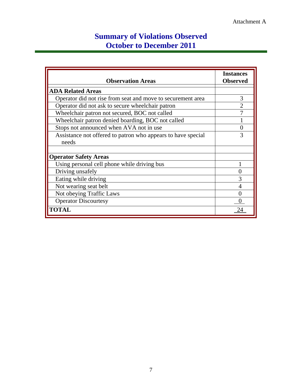## **Summary of Violations Observed October to December 2011**

| <b>Observation Areas</b>                                              | <b>Instances</b><br><b>Observed</b> |
|-----------------------------------------------------------------------|-------------------------------------|
| <b>ADA Related Areas</b>                                              |                                     |
| Operator did not rise from seat and move to securement area           | 3                                   |
| Operator did not ask to secure wheelchair patron                      | $\overline{2}$                      |
| Wheelchair patron not secured, BOC not called                         |                                     |
| Wheelchair patron denied boarding, BOC not called                     |                                     |
| Stops not announced when AVA not in use                               | 0                                   |
| Assistance not offered to patron who appears to have special<br>needs | 3                                   |
| <b>Operator Safety Areas</b>                                          |                                     |
| Using personal cell phone while driving bus                           |                                     |
| Driving unsafely                                                      |                                     |
| Eating while driving                                                  | 3                                   |
| Not wearing seat belt                                                 |                                     |
| Not obeying Traffic Laws                                              | 0                                   |
| <b>Operator Discourtesy</b>                                           |                                     |
| <b>TOTAL</b>                                                          | 24                                  |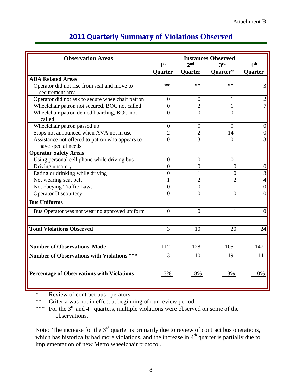| <b>Observation Areas</b>                          | <b>Instances Observed</b> |                 |                          |                  |
|---------------------------------------------------|---------------------------|-----------------|--------------------------|------------------|
|                                                   | 1 <sup>st</sup>           | $2^{\text{nd}}$ | $\mathbf{a}^{\text{rd}}$ | 4 <sup>th</sup>  |
|                                                   | Quarter                   | Quarter         | Quarter*                 | Quarter          |
| <b>ADA Related Areas</b>                          |                           |                 |                          |                  |
| Operator did not rise from seat and move to       | **                        | **              | **                       | 3                |
| securement area                                   |                           |                 |                          |                  |
| Operator did not ask to secure wheelchair patron  | $\theta$                  | $\theta$        | $\mathbf{I}$             | $\overline{2}$   |
| Wheelchair patron not secured, BOC not called     | $\theta$                  | 2               | 1                        | $\tau$           |
| Wheelchair patron denied boarding, BOC not        | $\theta$                  | $\Omega$        | $\theta$                 |                  |
| called                                            |                           |                 |                          |                  |
| Wheelchair patron passed up                       | $\overline{0}$            | $\overline{0}$  | $\theta$                 | $\boldsymbol{0}$ |
| Stops not announced when AVA not in use           | $\overline{2}$            | $\overline{2}$  | 14                       | $\overline{0}$   |
| Assistance not offered to patron who appears to   | $\theta$                  | 3               | $\Omega$                 | 3                |
| have special needs                                |                           |                 |                          |                  |
| <b>Operator Safety Areas</b>                      |                           |                 |                          |                  |
| Using personal cell phone while driving bus       | $\overline{0}$            | $\overline{0}$  | $\overline{0}$           |                  |
| Driving unsafely                                  | $\overline{0}$            | $\overline{0}$  | 0                        | $\boldsymbol{0}$ |
| Eating or drinking while driving                  | $\overline{0}$            |                 | $\overline{0}$           | $\overline{3}$   |
| Not wearing seat belt                             |                           | $\overline{2}$  | $\overline{2}$           | $\overline{4}$   |
| Not obeying Traffic Laws                          | $\overline{0}$            | $\overline{0}$  | $\mathbf{1}$             | $\overline{0}$   |
| <b>Operator Discourtesy</b>                       | $\theta$                  | $\theta$        | $\theta$                 | $\theta$         |
| <b>Bus Uniforms</b>                               |                           |                 |                          |                  |
| Bus Operator was not wearing approved uniform     | $\overline{0}$            | $\overline{0}$  | <u> 1</u>                | $\overline{0}$   |
|                                                   |                           |                 |                          |                  |
| <b>Total Violations Observed</b>                  | $\overline{3}$            | 10              | 20                       | 24               |
|                                                   |                           |                 |                          |                  |
| <b>Number of Observations Made</b>                | 112                       | 128             | 105                      | 147              |
| <b>Number of Observations with Violations ***</b> | 3                         | 10              | -19                      | -14              |
|                                                   |                           |                 |                          |                  |
| <b>Percentage of Observations with Violations</b> | 3%                        | 8%              | 18%                      | 10%              |
|                                                   |                           |                 |                          |                  |

## **2011 Quarterly Summary of Violations Observed**

\* Review of contract bus operators<br>\*\* Criteria was not in effect at begins

Criteria was not in effect at beginning of our review period.

\*\*\* For the  $3<sup>rd</sup>$  and  $4<sup>th</sup>$  quarters, multiple violations were observed on some of the observations.

Note: The increase for the  $3<sup>rd</sup>$  quarter is primarily due to review of contract bus operations, which has historically had more violations, and the increase in  $4<sup>th</sup>$  quarter is partially due to implementation of new Metro wheelchair protocol.